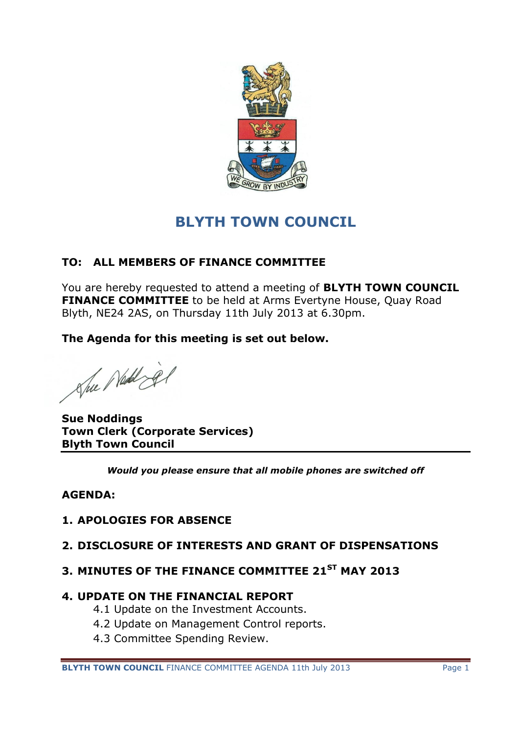

# **BLYTH TOWN COUNCIL**

# **TO: ALL MEMBERS OF FINANCE COMMITTEE**

You are hereby requested to attend a meeting of **BLYTH TOWN COUNCIL FINANCE COMMITTEE** to be held at Arms Evertyne House, Quay Road Blyth, NE24 2AS, on Thursday 11th July 2013 at 6.30pm.

**The Agenda for this meeting is set out below.**

She Nedd El

**Sue Noddings Town Clerk (Corporate Services) Blyth Town Council**

*Would you please ensure that all mobile phones are switched off*

## **AGENDA:**

## **1. APOLOGIES FOR ABSENCE**

## **2. DISCLOSURE OF INTERESTS AND GRANT OF DISPENSATIONS**

## **3. MINUTES OF THE FINANCE COMMITTEE 21ST MAY 2013**

#### **4. UPDATE ON THE FINANCIAL REPORT**

- 4.1 Update on the Investment Accounts.
- 4.2 Update on Management Control reports.
- 4.3 Committee Spending Review.